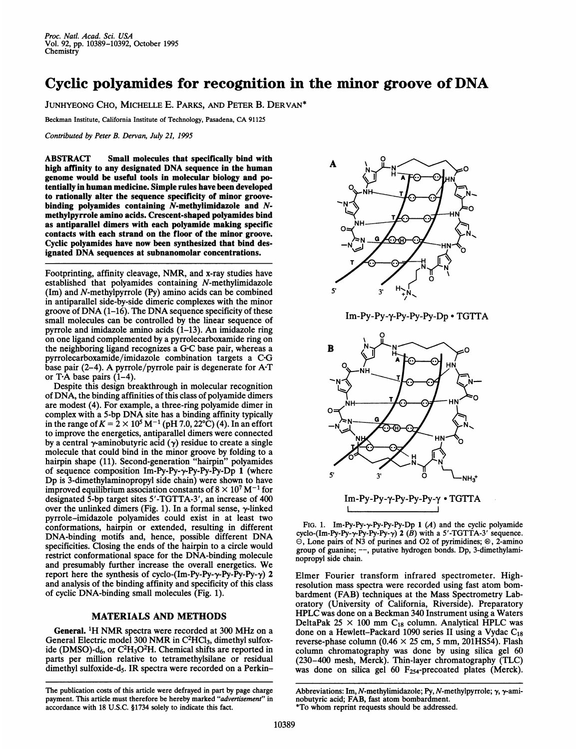## Cyclic polyamides for recognition in the minor groove of DNA

JUNHYEONG CHO, MICHELLE E. PARKS, AND PETER B. DERVAN\*

Beckman Institute, California Institute of Technology, Pasadena, CA <sup>91125</sup>

Contributed by Peter B. Dervan, July 21, 1995

ABSTRACT Small molecules that specifically bind with high affinity to any designated DNA sequence in the human genome would be useful tools in molecular biology and potentially in human medicine. Simple rules have been developed to rationally alter the sequence specificity of minor groovebinding polyamides containing  $\bar{N}$ -methylimidazole and  $N$ methylpyrrole amino acids. Crescent-shaped polyamides bind as antiparallel dimers with each polyamide making specific contacts with each strand on the floor of the minor groove. Cyclic polyamides have now been synthesized that bind designated DNA sequences at subnanomolar concentrations.

Footprinting, affinity cleavage, NMR, and x-ray studies have established that polyamides containing N-methylimidazole (Im) and N-methylpyrrole (Py) amino acids can be combined in antiparallel side-by-side dimeric complexes with the minor groove of DNA (1-16). The DNA sequence specificity of these small molecules can be controlled by the linear sequence of pyrrole and imidazole amino acids  $(1-13)$ . An imidazole ring on one ligand complemented by a pyrrolecarboxamide ring on the neighboring ligand recognizes <sup>a</sup> GC base pair, whereas <sup>a</sup> pyrrolecarboxamide/imidazole combination targets a C\*G base pair (2-4). A pyrrole/pyrrole pair is degenerate for A-T or T $\cdot$ A base pairs (1–4).

Despite this design breakthrough in molecular recognition of DNA, the binding affinities of this class of polyamide dimers are modest (4). For example, a three-ring polyamide dimer in complex with <sup>a</sup> 5-bp DNA site has <sup>a</sup> binding affinity typically in the range of  $K = 2 \times 10^5$  M<sup>-1</sup> (pH 7.0, 22°C) (4). In an effort to improve the energetics, antiparallel dimers were connected by a central  $\gamma$ -aminobutyric acid ( $\gamma$ ) residue to create a single molecule that could bind in the minor groove by folding to a hairpin shape (11). Second-generation "hairpin" polyamides of sequence composition Im-Py-Py-y-Py-Py-Py-Dp 1 (where Dp is 3-dimethylaminopropyl side chain) were shown to have improved equilibrium association constants of  $8 \times 10^7$  M<sup>-1</sup> for designated 5-bp target sites 5'-TGTTA-3', an increase of 400 over the unlinked dimers (Fig. 1). In a formal sense, y-linked pyrrole-imidazole polyamides could exist in at least two conformations, hairpin or extended, resulting in different DNA-binding motifs and, hence, possible different DNA specificities. Closing the ends of the hairpin to a circle would restrict conformational space for the DNA-binding molecule and presumably further increase the overall energetics. We report here the synthesis of cyclo-(Im-Py-Py- $\gamma$ -Py-Py-Py- $\gamma$ ) 2 and analysis of the binding affinity and specificity of this class of cyclic DNA-binding small molecules (Fig. 1).

## MATERIALS AND METHODS

General. 1H NMR spectra were recorded at <sup>300</sup> MHz on <sup>a</sup> General Electric model 300 NMR in C<sup>2</sup>HCl<sub>3</sub>, dimethyl sulfoxide (DMSO)- $d_6$ , or  $C^2H_3O^2H$ . Chemical shifts are reported in parts per million relative to tetramethylsilane or residual dimethyl sulfoxide-d<sub>5</sub>. IR spectra were recorded on a Perkin-



Im-Py-Py-y-Py-Py-Py-Dp \* TGTTA



FIG. 1. Im-Py-Py- $\gamma$ -Py-Py-Py-Py-Dp 1 (A) and the cyclic polyamide cyclo-(Im-Py-Py-Py-Py-Py-Py- $\gamma$ ) 2 ( $\hat{B}$ ) with a 5'-TGTTA-3' sequence.  $\odot$ , Lone pairs of N3 of purines and O2 of pyrimidines;  $\odot$ , 2-amino group of guanine; ---, putative hydrogen bonds. Dp, 3-dimethylaminopropyl side chain.

Elmer Fourier transform infrared spectrometer. Highresolution mass spectra were recorded using fast atom bombardment (FAB) techniques at the Mass Spectrometry Laboratory (University of California, Riverside). Preparatory HPLC was done on <sup>a</sup> Beckman 340 Instrument using <sup>a</sup> Waters DeltaPak  $25 \times 100$  mm C<sub>18</sub> column. Analytical HPLC was done on a Hewlett-Packard 1090 series II using a Vydac  $C_{18}$ reverse-phase column (0.46  $\times$  25 cm, 5 mm, 201HS54). Flash column chromatography was done by using silica gel 60 (230-400 mesh, Merck). Thin-layer chromatography (TLC) was done on silica gel 60 F254-precoated plates (Merck).

The publication costs of this article were defrayed in part by page charge payment. This article must therefore be hereby marked "advertisement" in accordance with 18 U.S.C. §1734 solely to indicate this fact.

Abbreviations: Im, N-methylimidazole; Py, N-methylpyrrole; y, y-aminobutyric acid; FAB, fast atom bombardment. \*To whom reprint requests should be addressed.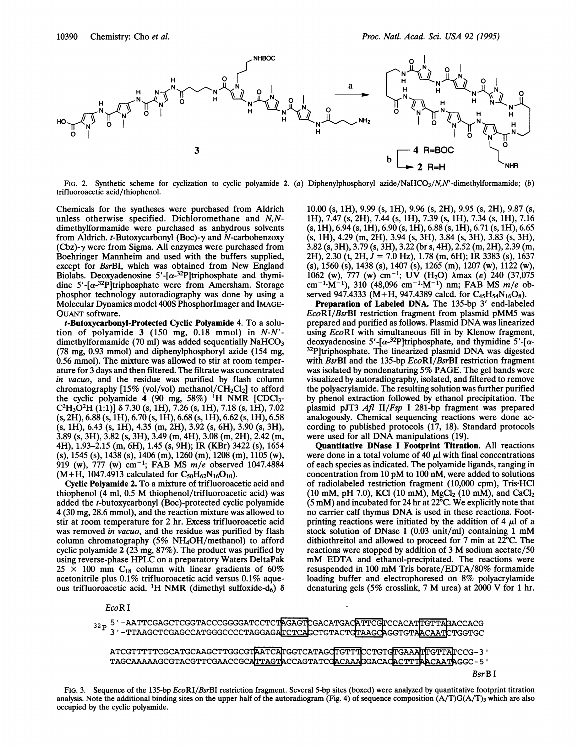

Fig. 2. Synthetic scheme for cyclization to cyclic polyamide 2. (a) Diphenylphosphoryl azide/NaHCO<sub>3</sub>/N,N'-dimethylformamide; (b) trifluoroacetic acid/thiophenol.

Chemicals for the syntheses were purchased from Aldrich unless otherwise specified. Dichloromethane and N,Ndimethylformamide were purchased as anhydrous solvents from Aldrich.  $t$ -Butoxycarbonyl (Boc)- $\nu$  and N-carbobenzoxy  $(Cbz)$ - $\gamma$  were from Sigma. All enzymes were purchased from Boehringer Mannheim and used with the buffers supplied, except for BsrBI, which was obtained from New England Biolabs. Deoxyadenosine  $5'$ -[ $\alpha$ -<sup>32</sup>P]triphosphate and thymidine  $5'-[\alpha^{-32}P]$ triphosphate were from Amersham. Storage phosphor technology autoradiography was done by using a Molecular Dynamics model 400S PhosphorImager and IMAGE-QUANT software.

t-Butoxycarbonyl-Protected Cyclic Polyamide 4. To a solution of polyamide  $3$  (150 mg, 0.18 mmol) in  $N-N'$ dimethylformamide (70 ml) was added sequentially  $NaHCO<sub>3</sub>$ (78 mg, 0.93 mmol) and diphenylphosphoryl azide (154 mg, 0.56 mmol). The mixture was allowed to stir at room temperature for 3 days and then filtered. The filtrate was concentrated in vacuo, and the residue was purified by flash column chromatography [15% (vol/vol) methanol/ $CH_2Cl_2$ ] to afford the cyclic polyamide  $\dot{4}$  (90 mg, 58%) <sup>1</sup>H NMR [CDCl<sub>3</sub>- $C<sup>2</sup>H<sub>3</sub>O<sup>2</sup>H (1:1)$ ]  $\delta$  7.30 (s, 1H), 7.26 (s, 1H), 7.18 (s, 1H), 7.02  $(s, 2H)$ , 6.88  $(s, 1H)$ , 6.70  $(s, 1H)$ , 6.68  $(s, 1H)$ , 6.62  $(s, 1H)$ , 6.58  $(s, 1H)$ , 6.43  $(s, 1H)$ , 4.35 (m, 2H), 3.92 (s, 6H), 3.90 (s, 3H), 3.89 (s, 3H), 3.82 (s, 3H), 3.49 (m, 4H), 3.08 (m, 2H), 2.42 (m, 4H), 1.93-2.15 (m, 6H), 1.45 (s, 9H); IR (KBr) 3422 (s), 1654 (s), 1545 (s), 1438 (s), 1406 (m), 1260 (m), 1208 (m), 1105 (w), 919 (w),  $777$  (w) cm<sup>-1</sup>; FAB MS  $m/e$  observed 1047.4884  $(M+H, 1047.4913$  calculated for  $C_{50}H_{62}N_{16}O_{10}$ .

Cyclic Polyamide 2. To a mixture of trifluoroacetic acid and thiophenol (4 ml, 0.5 M thiophenol/trifluoroacetic acid) was added the t-butoxycarbonyl (Boc)-protected cyclic polyamide 4 (30 mg, 28.6 mmol), and the reaction mixture was allowed to stir at room temperature for 2 hr. Excess trifluoroacetic acid was removed in vacuo, and the residue was purified by flash column chromatography (5% NH4OH/methanol) to afford cyclic polyamide 2 (23 mg, 87%). The product was purified by using reverse-phase HPLC on <sup>a</sup> preparatory Waters DeltaPak  $25 \times 100$  mm C<sub>18</sub> column with linear gradients of 60% acetonitrile plus 0.1% trifluoroacetic acid versus 0.1% aqueous trifluoroacetic acid. <sup>1</sup>H NMR (dimethyl sulfoxide-d<sub>6</sub>)  $\delta$  10.00 (s, 1H), 9.99 (s, 1H), 9.96 (s, 2H), 9.95 (s, 2H), 9.87 (s, 1H), 7.47 (s, 2H), 7.44 (s, 1H), 7.39 (s, 1H), 7.34 (s, 1H), 7.16  $(s, 1H), 6.94$   $(s, 1H), 6.90$   $(s, 1H), 6.88$   $(s, 1H), 6.71$   $(s, 1H), 6.65$ (s, 1H), 4.29 (m, 2H), 3.94 (s, 3H), 3.84 (s, 3H), 3.83 (s, 3H), 3.82 (s, 3H), 3.79 (s, 3H), 3.22 (br s, 4H), 2.52 (m, 2H), 2.39 (m, 2H), 2.30 (t, 2H, J = 7.0 Hz), 1.78 (m, 6H); IR 3383 (s), 1637 (s), 1560 (s), 1438 (s), 1407 (s), 1265 (m), 1207 (w), 1122 (w), 1062 (w), 777 (w) cm<sup>-1</sup>; UV (H<sub>2</sub>O)  $\lambda$ max (s) 240 (37,075 cm<sup>-1</sup> $\cdot$ M<sup>-1</sup>), 310 (48,096 cm<sup>-1</sup> $\cdot$ M<sup>-1</sup>) nm; FAB MS m/e observed 947.4333 (M+H, 947.4389 calcd. for C<sub>45</sub>H<sub>54</sub>N<sub>16</sub>O<sub>8</sub>).

Preparation of Labeled DNA. The 135-bp 3' end-labeled EcoRI/BsrBI restriction fragment from plasmid pMM5 was prepared and purified as follows. Plasmid DNA was linearized using EcoRI with simultaneous fill in by Klenow fragment, deoxyadenosine 5'-[ $\alpha$ -<sup>32</sup>P]triphosphate, and thymidine 5'-[ $\alpha$ -<sup>32</sup>P]triphosphate. The linearized plasmid DNA was digested with BsrBI and the 135-bp EcoRI/BsrBI restriction fragment was isolated by nondenaturing 5% PAGE. The gel bands were visualized by autoradiography, isolated, and filtered to remove the polyacrylamide. The resulting solution was further purified by phenol extraction followed by ethanol precipitation. The plasmid pJT3 Afl II/Fsp <sup>I</sup> 281-bp fragment was prepared analogously. Chemical sequencing reactions were done according to published protocols (17, 18). Standard protocols were used for all DNA manipulations (19).

Quantitative DNase <sup>I</sup> Footprint Titration. All reactions were done in a total volume of 40  $\mu$ l with final concentrations of each species as indicated. The polyamide ligands, ranging in concentration from <sup>10</sup> pM to <sup>100</sup> nM, were added to solutions of radiolabeled restriction fragment (10,000 cpm), Tris HCl (10 mM, pH 7.0), KCl (10 mM), MgCl<sub>2</sub> (10 mM), and CaCl<sub>2</sub> (5 mM) and incubated for <sup>24</sup> hr at 22°C. We explicitly note that no carrier calf thymus DNA is used in these reactions. Footprinting reactions were initiated by the addition of 4  $\mu$ l of a stock solution of DNase <sup>I</sup> (0.03 unit/ml) containing <sup>1</sup> mM dithiothreitol and allowed to proceed for 7 min at 22°C. The reactions were stopped by addition of <sup>3</sup> M sodium acetate/50 mM EDTA and ethanol-precipitated. The reactions were resuspended in <sup>100</sup> mM Tris borate/EDTA/80% formamide loading buffer and electrophoresed on 8% polyacrylamide denaturing gels (5% crosslink, <sup>7</sup> M urea) at <sup>2000</sup> V for <sup>1</sup> hr.

EcoR <sup>I</sup>

32 p <sup>5</sup> -AATTCGAGCTCGGTACCCGGGGATCCTCTAGAGTCGACATGACATTCGTCCACATTGTTAGACCACG 3'-TTAAGCTCGAGCCATGGGCCCCTAGGAGATCTCAGCTGTACTGTAAGCAGGTGTAACAATCTGGTGC

ATCGTTTTTCGCATGCAAGCTTGGCGTAATCATGGTCATAGOTGTTTCCTGTGAAATTGTTATCCG-3'<br>TAGCAAAAAGCGTACGTTCGAACCGCATTAGTACCAGTATCGACAAAGGACACACTTTAACAATAGGC-5'

BsrB <sup>I</sup>

FIG. 3. Sequence of the 135-bp EcoRI/BsrBI restriction fragment. Several 5-bp sites (boxed) were analyzed by quantitative footprint titration analysis. Note the additional binding sites on the upper half of the autoradiogram (Fig. 4) of sequence composition  $(A/T)G(A/T)$ <sub>3</sub> which are also occupied by the cyclic polyamide.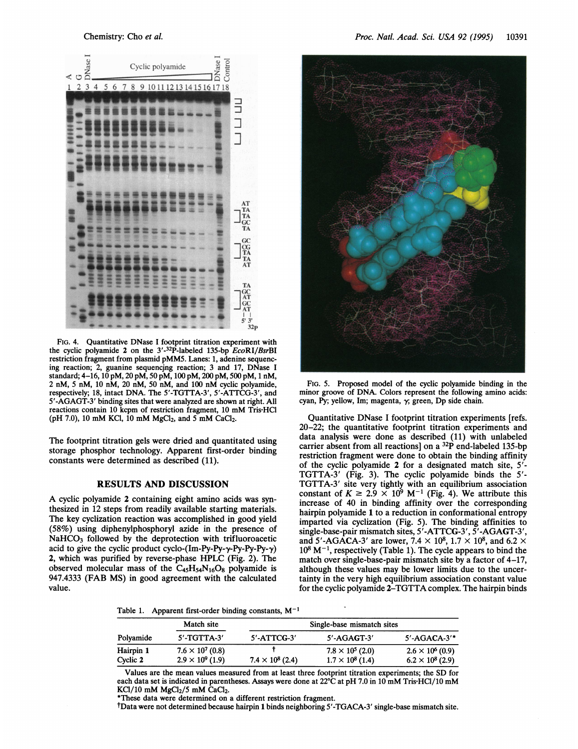

FIG. 4. Quantitative DNase <sup>I</sup> footprint titration experiment with the cyclic polyamide 2 on the  $3'$ -32P-labeled 135-bp  $ECoRI/BsrBI$ restriction fragment from plasmid pMM5. Lanes: 1, adenine sequencing reaction; 2, guanine sequencing reaction; 3 and 17, DNase <sup>I</sup> standard; 4-16, 10 pM, 20 pM, 50 pM, 100 pM, 200 pM, 500 pM, <sup>1</sup> nM, <sup>2</sup> nM, <sup>5</sup> nM, <sup>10</sup> nM, <sup>20</sup> nM, <sup>50</sup> nM, and <sup>100</sup> nM cyclic polyamide, respectively; 18, intact DNA. The 5'-TGTTA-3', 5'-ATTCG-3', and 5'-AGAGT-3' binding sites that were analyzed are shown at right. All reactions contain <sup>10</sup> kcpm of restriction fragment, <sup>10</sup> mM Tris-HCl (pH 7.0), 10 mM KCl, 10 mM MgCl<sub>2</sub>, and 5 mM CaCl<sub>2</sub>.

The footprint titration gels were dried and quantitated using storage phosphor technology. Apparent first-order binding constants were determined as described (11).

## RESULTS AND DISCUSSION

A cyclic polyamide <sup>2</sup> containing eight amino acids was synthesized in 12 steps from readily available starting materials. The key cyclization reaction was accomplished in good yield (58%) using diphenylphosphoryl azide in the presence of NaHCO<sub>3</sub> followed by the deprotection with trifluoroacetic acid to give the cyclic product cyclo-(Im-Py-Py- $\gamma$ -Py-Py- $\gamma$ ) 2, which was purified by reverse-phase HPLC (Fig. 2). The observed molecular mass of the  $C_{45}H_{54}N_{16}O_8$  polyamide is 947.4333 (FAB MS) in good agreement with the calculated value.



FIG. 5. Proposed model of the cyclic polyamide binding in the minor groove of DNA. Colors represent the following amino acids: cyan, Py; yellow, Im; magenta,  $\gamma$ ; green, Dp side chain.

Quantitative DNase <sup>I</sup> footprint titration experiments [refs. 20-22; the quantitative footprint titration experiments and data analysis were done as described (11) with unlabeled carrier absent from all reactions] on a  $^{32}P$  end-labeled 135-bp restriction fragment were done to obtain the binding affinity of the cyclic polyamide 2 for a designated match site, 5'- TGTTA-3' (Fig. 3). The cyclic polyamide binds the <sup>5</sup>'- TGTTA-3' site very tightly with an equilibrium association constant of  $K \ge 2.9 \times 10^9$  M<sup>-1</sup> (Fig. 4). We attribute this increase of 40 in binding affinity over the corresponding hairpin polyamide 1 to a reduction in conformational entropy imparted via cyclization (Fig. 5). The binding affinities to single-base-pair mismatch sites, 5'-ATTCG-3', 5'-AGAGT-3', and 5'-AGACA-3' are lower, 7.4  $\times$  10<sup>8</sup>, 1.7  $\times$  10<sup>8</sup>, and 6.2  $\times$  $10^8$  M<sup>-1</sup>, respectively (Table 1). The cycle appears to bind the match over single-base-pair mismatch site by a factor of 4–17, although these values may be lower limits due to the uncertainty in the very high equilibrium association constant value for the cyclic polyamide 2-TGTTA complex. The hairpin binds

Table 1. Apparent first-order binding constants,  $M^{-1}$ 

| Polyamide | Match site<br>$5'$ -TGTTA-3' | Single-base mismatch sites |                         |                         |
|-----------|------------------------------|----------------------------|-------------------------|-------------------------|
|           |                              | $5'$ -ATTCG-3'             | $5'$ -AGAGT-3'          | $5'$ -AGACA-3'*         |
| Hairpin 1 | $7.6 \times 10^7 (0.8)$      |                            | $7.8 \times 10^5$ (2.0) | $2.6 \times 10^6 (0.9)$ |
| Cyclic 2  | $2.9 \times 10^9$ (1.9)      | $7.4 \times 10^8$ (2.4)    | $1.7 \times 10^8$ (1.4) | $6.2 \times 10^8$ (2.9) |

Values are the mean values measured from at least three footprint titration experiments; the SD for each data set is indicated in parentheses. Assays were done at 22°C at pH 7.0 in <sup>10</sup> mM Tris'HCl/10 mM  $KCl/10$  mM  $MgCl<sub>2</sub>/5$  mM  $CaCl<sub>2</sub>$ .

\*These data were determined on a different restriction fragment.

tData were not determined because hairpin 1 binds neighboring 5'-TGACA-3' single-base mismatch site.